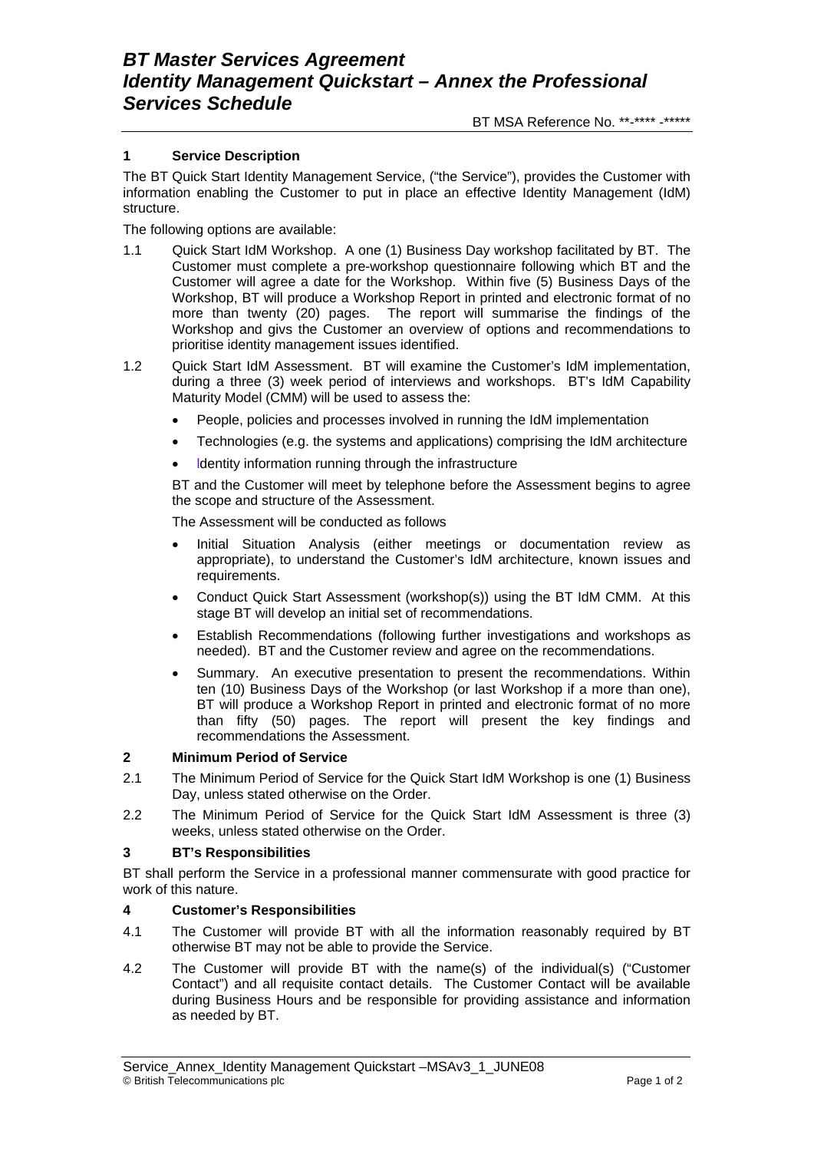### **1 Service Description**

The BT Quick Start Identity Management Service, ("the Service"), provides the Customer with information enabling the Customer to put in place an effective Identity Management (IdM) structure.

The following options are available:

- 1.1 Quick Start IdM Workshop. A one (1) Business Day workshop facilitated by BT. The Customer must complete a pre-workshop questionnaire following which BT and the Customer will agree a date for the Workshop. Within five (5) Business Days of the Workshop, BT will produce a Workshop Report in printed and electronic format of no more than twenty (20) pages. The report will summarise the findings of the Workshop and givs the Customer an overview of options and recommendations to prioritise identity management issues identified.
- 1.2 Quick Start IdM Assessment. BT will examine the Customer's IdM implementation, during a three (3) week period of interviews and workshops. BT's IdM Capability Maturity Model (CMM) will be used to assess the:
	- People, policies and processes involved in running the IdM implementation
	- Technologies (e.g. the systems and applications) comprising the IdM architecture
	- ldentity information running through the infrastructure

BT and the Customer will meet by telephone before the Assessment begins to agree the scope and structure of the Assessment.

The Assessment will be conducted as follows

- Initial Situation Analysis (either meetings or documentation review as appropriate), to understand the Customer's IdM architecture, known issues and requirements.
- Conduct Quick Start Assessment (workshop(s)) using the BT IdM CMM. At this stage BT will develop an initial set of recommendations.
- Establish Recommendations (following further investigations and workshops as needed). BT and the Customer review and agree on the recommendations.
- Summary. An executive presentation to present the recommendations. Within ten (10) Business Days of the Workshop (or last Workshop if a more than one), BT will produce a Workshop Report in printed and electronic format of no more than fifty (50) pages. The report will present the key findings and recommendations the Assessment.

### **2 Minimum Period of Service**

- 2.1 The Minimum Period of Service for the Quick Start IdM Workshop is one (1) Business Day, unless stated otherwise on the Order.
- 2.2 The Minimum Period of Service for the Quick Start IdM Assessment is three (3) weeks, unless stated otherwise on the Order.

### **3 BT's Responsibilities**

BT shall perform the Service in a professional manner commensurate with good practice for work of this nature.

### **4 Customer's Responsibilities**

- 4.1 The Customer will provide BT with all the information reasonably required by BT otherwise BT may not be able to provide the Service.
- 4.2 The Customer will provide BT with the name(s) of the individual(s) ("Customer Contact") and all requisite contact details. The Customer Contact will be available during Business Hours and be responsible for providing assistance and information as needed by BT.